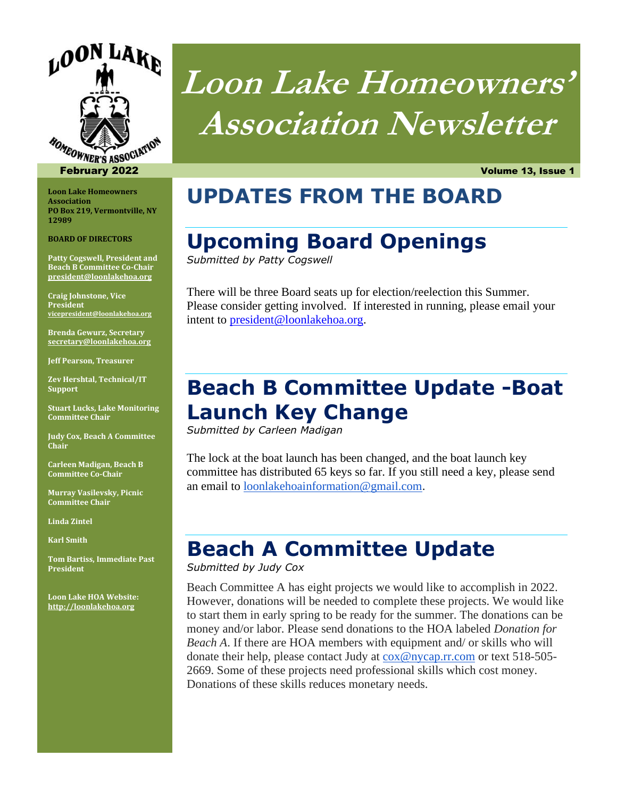

**Loon Lake Homeowners Association PO Box 219, Vermontville, NY 12989** 

**BOARD OF DIRECTORS**

**Patty Cogswell, President and Beach B Committee Co-Chair president@loonlakehoa.org**

**Craig Johnstone, Vice President vicepresident@loonlakehoa.org**

**Brenda Gewurz, Secretary secretary@loonlakehoa.org**

**Jeff Pearson, Treasurer**

**Zev Hershtal, Technical/IT Support**

**Stuart Lucks, Lake Monitoring Committee Chair**

**Judy Cox, Beach A Committee Chair**

**Carleen Madigan, Beach B Committee Co-Chair**

**Murray Vasilevsky, Picnic Committee Chair**

**Linda Zintel**

**Karl Smith**

**Tom Bartiss, Immediate Past President**

**Loon Lake HOA Website: http://loonlakehoa.org**

# **Loon Lake Homeowners' Association Newsletter**

February 2022 Volume 13, Issue 1

#### **UPDATES FROM THE BOARD**

#### **Upcoming Board Openings**

*Submitted by Patty Cogswell*

There will be three Board seats up for election/reelection this Summer. Please consider getting involved. If interested in running, please email your intent to president@loonlakehoa.org.

#### **Beach B Committee Update -Boat Launch Key Change**

*Submitted by Carleen Madigan* 

The lock at the boat launch has been changed, and the boat launch key committee has distributed 65 keys so far. If you still need a key, please send an email to **loonlakehoainformation@gmail.com**.

#### **Beach A Committee Update**

*Submitted by Judy Cox* 

Beach Committee A has eight projects we would like to accomplish in 2022. However, donations will be needed to complete these projects. We would like to start them in early spring to be ready for the summer. The donations can be money and/or labor. Please send donations to the HOA labeled *Donation for Beach A*. If there are HOA members with equipment and/ or skills who will donate their help, please contact Judy at cox@nycap.rr.com or text 518-505- 2669. Some of these projects need professional skills which cost money. Donations of these skills reduces monetary needs.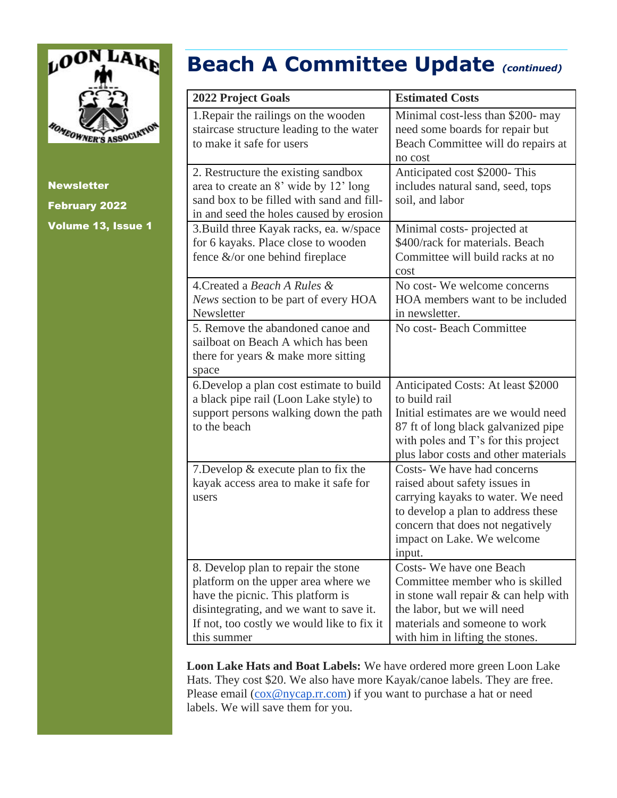

# **Beach A Committee Update** *(continued)*

| <b>2022 Project Goals</b>                  | <b>Estimated Costs</b>               |
|--------------------------------------------|--------------------------------------|
| 1. Repair the railings on the wooden       | Minimal cost-less than \$200- may    |
| staircase structure leading to the water   | need some boards for repair but      |
| to make it safe for users                  | Beach Committee will do repairs at   |
|                                            | no cost                              |
| 2. Restructure the existing sandbox        | Anticipated cost \$2000-This         |
| area to create an 8' wide by 12' long      | includes natural sand, seed, tops    |
| sand box to be filled with sand and fill-  | soil, and labor                      |
| in and seed the holes caused by erosion    |                                      |
| 3. Build three Kayak racks, ea. w/space    | Minimal costs-projected at           |
| for 6 kayaks. Place close to wooden        | \$400/rack for materials. Beach      |
| fence $&\&$ or one behind fireplace        | Committee will build racks at no     |
|                                            | cost                                 |
| 4. Created a Beach A Rules &               | No cost-We welcome concerns          |
| News section to be part of every HOA       | HOA members want to be included      |
| Newsletter                                 | in newsletter.                       |
| 5. Remove the abandoned canoe and          | No cost- Beach Committee             |
| sailboat on Beach A which has been         |                                      |
| there for years & make more sitting        |                                      |
| space                                      |                                      |
| 6. Develop a plan cost estimate to build   | Anticipated Costs: At least \$2000   |
| a black pipe rail (Loon Lake style) to     | to build rail                        |
| support persons walking down the path      | Initial estimates are we would need  |
| to the beach                               | 87 ft of long black galvanized pipe  |
|                                            | with poles and T's for this project  |
|                                            | plus labor costs and other materials |
| 7. Develop $&$ execute plan to fix the     | Costs-We have had concerns           |
| kayak access area to make it safe for      | raised about safety issues in        |
| users                                      | carrying kayaks to water. We need    |
|                                            | to develop a plan to address these   |
|                                            | concern that does not negatively     |
|                                            | impact on Lake. We welcome           |
|                                            | input.                               |
| 8. Develop plan to repair the stone        | Costs-We have one Beach              |
| platform on the upper area where we        | Committee member who is skilled      |
| have the picnic. This platform is          | in stone wall repair & can help with |
| disintegrating, and we want to save it.    | the labor, but we will need          |
| If not, too costly we would like to fix it | materials and someone to work        |
| this summer                                | with him in lifting the stones.      |

**Loon Lake Hats and Boat Labels:** We have ordered more green Loon Lake Hats. They cost \$20. We also have more Kayak/canoe labels. They are free. Please email ( $\cos @$ nycap.rr.com) if you want to purchase a hat or need labels. We will save them for you.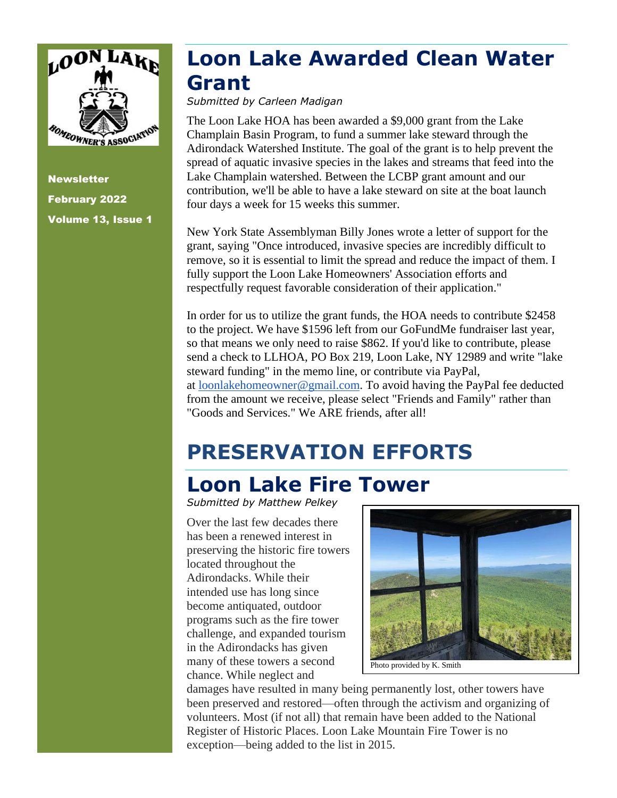

#### **Loon Lake Awarded Clean Water Grant**

*Submitted by Carleen Madigan*

The Loon Lake HOA has been awarded a \$9,000 grant from the Lake Champlain Basin Program, to fund a summer lake steward through the Adirondack Watershed Institute. The goal of the grant is to help prevent the spread of aquatic invasive species in the lakes and streams that feed into the Lake Champlain watershed. Between the LCBP grant amount and our contribution, we'll be able to have a lake steward on site at the boat launch four days a week for 15 weeks this summer.

New York State Assemblyman Billy Jones wrote a letter of support for the grant, saying "Once introduced, invasive species are incredibly difficult to remove, so it is essential to limit the spread and reduce the impact of them. I fully support the Loon Lake Homeowners' Association efforts and respectfully request favorable consideration of their application."

In order for us to utilize the grant funds, the HOA needs to contribute \$2458 to the project. We have \$1596 left from our GoFundMe fundraiser last year, so that means we only need to raise \$862. If you'd like to contribute, please send a check to LLHOA, PO Box 219, Loon Lake, NY 12989 and write "lake steward funding" in the memo line, or contribute via PayPal, at loonlakehomeowner@gmail.com. To avoid having the PayPal fee deducted from the amount we receive, please select "Friends and Family" rather than "Goods and Services." We ARE friends, after all!

# **PRESERVATION EFFORTS**

### **Loon Lake Fire Tower**

*Submitted by Matthew Pelkey*

Over the last few decades there has been a renewed interest in preserving the historic fire towers located throughout the Adirondacks. While their intended use has long since become antiquated, outdoor programs such as the fire tower challenge, and expanded tourism in the Adirondacks has given many of these towers a second chance. While neglect and



damages have resulted in many being permanently lost, other towers have been preserved and restored—often through the activism and organizing of volunteers. Most (if not all) that remain have been added to the National Register of Historic Places. Loon Lake Mountain Fire Tower is no exception—being added to the list in 2015.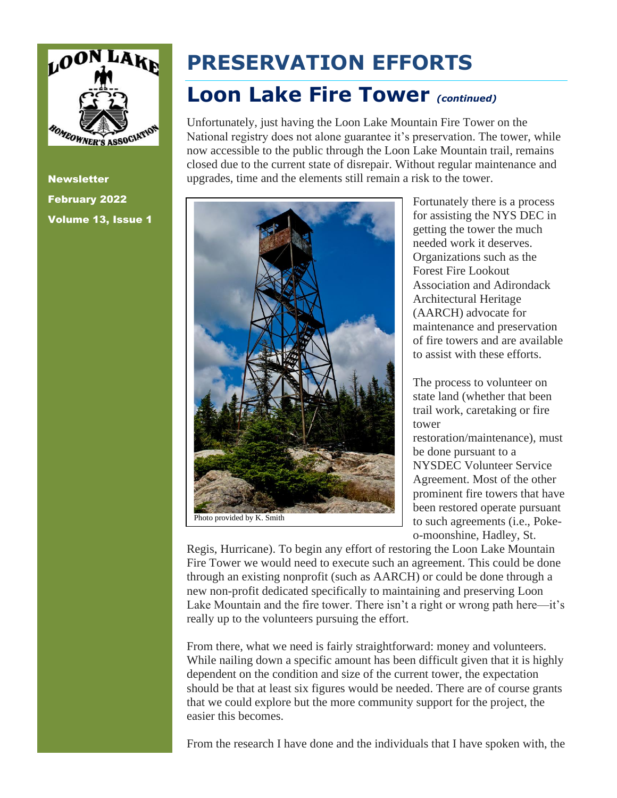

**Newsletter** February 2022 Volume 13, Issue 1

# **PRESERVATION EFFORTS**

#### **Loon Lake Fire Tower** *(continued)*

Unfortunately, just having the Loon Lake Mountain Fire Tower on the National registry does not alone guarantee it's preservation. The tower, while now accessible to the public through the Loon Lake Mountain trail, remains closed due to the current state of disrepair. Without regular maintenance and upgrades, time and the elements still remain a risk to the tower.



Fortunately there is a process for assisting the NYS DEC in getting the tower the much needed work it deserves. Organizations such as the Forest Fire Lookout Association and Adirondack Architectural Heritage (AARCH) advocate for maintenance and preservation of fire towers and are available to assist with these efforts.

The process to volunteer on state land (whether that been trail work, caretaking or fire tower restoration/maintenance), must be done pursuant to a NYSDEC Volunteer Service Agreement. Most of the other prominent fire towers that have been restored operate pursuant to such agreements (i.e., Pokeo-moonshine, Hadley, St.

Regis, Hurricane). To begin any effort of restoring the Loon Lake Mountain Fire Tower we would need to execute such an agreement. This could be done through an existing nonprofit (such as AARCH) or could be done through a new non-profit dedicated specifically to maintaining and preserving Loon Lake Mountain and the fire tower. There isn't a right or wrong path here—it's really up to the volunteers pursuing the effort.

From there, what we need is fairly straightforward: money and volunteers. While nailing down a specific amount has been difficult given that it is highly dependent on the condition and size of the current tower, the expectation should be that at least six figures would be needed. There are of course grants that we could explore but the more community support for the project, the easier this becomes.

From the research I have done and the individuals that I have spoken with, the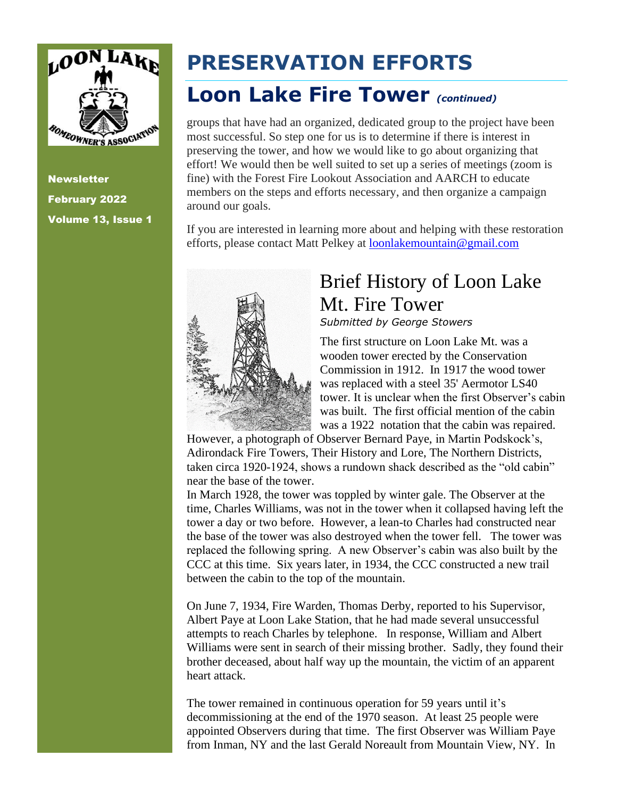

# **PRESERVATION EFFORTS**

#### **Loon Lake Fire Tower** *(continued)*

groups that have had an organized, dedicated group to the project have been most successful. So step one for us is to determine if there is interest in preserving the tower, and how we would like to go about organizing that effort! We would then be well suited to set up a series of meetings (zoom is fine) with the Forest Fire Lookout Association and AARCH to educate members on the steps and efforts necessary, and then organize a campaign around our goals.

If you are interested in learning more about and helping with these restoration efforts, please contact Matt Pelkey at **loonlakemountain@gmail.com** 



# Brief History of Loon Lake Mt. Fire Tower

*Submitted by George Stowers*

The first structure on Loon Lake Mt. was a wooden tower erected by the Conservation Commission in 1912. In 1917 the wood tower was replaced with a steel 35' Aermotor LS40 tower. It is unclear when the first Observer's cabin was built. The first official mention of the cabin was a 1922 notation that the cabin was repaired.

However, a photograph of Observer Bernard Paye, in Martin Podskock's, Adirondack Fire Towers, Their History and Lore, The Northern Districts, taken circa 1920-1924, shows a rundown shack described as the "old cabin" near the base of the tower.

In March 1928, the tower was toppled by winter gale. The Observer at the time, Charles Williams, was not in the tower when it collapsed having left the tower a day or two before. However, a lean-to Charles had constructed near the base of the tower was also destroyed when the tower fell. The tower was replaced the following spring. A new Observer's cabin was also built by the CCC at this time. Six years later, in 1934, the CCC constructed a new trail between the cabin to the top of the mountain.

On June 7, 1934, Fire Warden, Thomas Derby, reported to his Supervisor, Albert Paye at Loon Lake Station, that he had made several unsuccessful attempts to reach Charles by telephone. In response, William and Albert Williams were sent in search of their missing brother. Sadly, they found their brother deceased, about half way up the mountain, the victim of an apparent heart attack.

The tower remained in continuous operation for 59 years until it's decommissioning at the end of the 1970 season. At least 25 people were appointed Observers during that time. The first Observer was William Paye from Inman, NY and the last Gerald Noreault from Mountain View, NY. In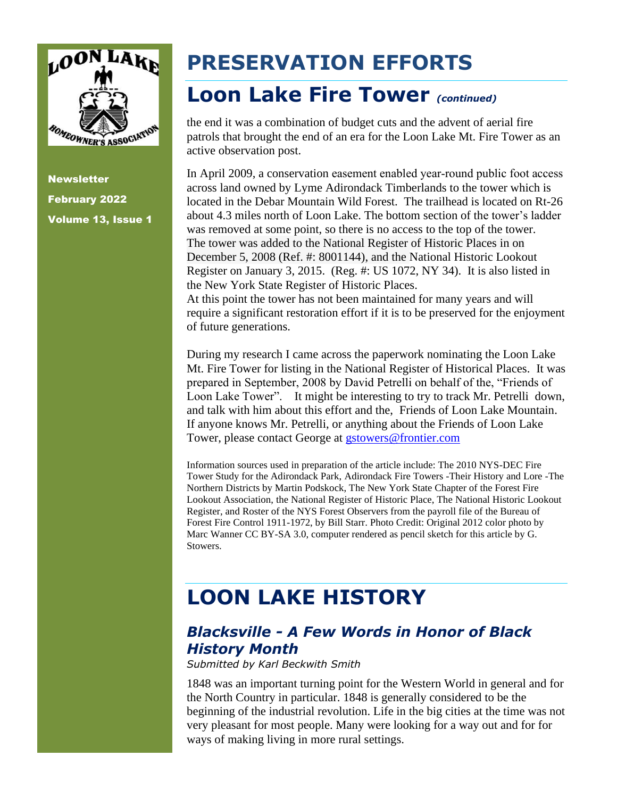

# **PRESERVATION EFFORTS**

#### **Loon Lake Fire Tower** *(continued)*

the end it was a combination of budget cuts and the advent of aerial fire patrols that brought the end of an era for the Loon Lake Mt. Fire Tower as an active observation post.

In April 2009, a conservation easement enabled year-round public foot access across land owned by Lyme Adirondack Timberlands to the tower which is located in the Debar Mountain Wild Forest. The trailhead is located on Rt-26 about 4.3 miles north of Loon Lake. The bottom section of the tower's ladder was removed at some point, so there is no access to the top of the tower. The tower was added to the National Register of Historic Places in on December 5, 2008 (Ref. #: 8001144), and the National Historic Lookout Register on January 3, 2015. (Reg. #: US 1072, NY 34). It is also listed in the New York State Register of Historic Places.

At this point the tower has not been maintained for many years and will require a significant restoration effort if it is to be preserved for the enjoyment of future generations.

During my research I came across the paperwork nominating the Loon Lake Mt. Fire Tower for listing in the National Register of Historical Places. It was prepared in September, 2008 by David Petrelli on behalf of the, "Friends of Loon Lake Tower". It might be interesting to try to track Mr. Petrelli down, and talk with him about this effort and the, Friends of Loon Lake Mountain. If anyone knows Mr. Petrelli, or anything about the Friends of Loon Lake Tower, please contact George at gstowers@frontier.com

Information sources used in preparation of the article include: The 2010 NYS-DEC Fire Tower Study for the Adirondack Park, Adirondack Fire Towers -Their History and Lore -The Northern Districts by Martin Podskock, The New York State Chapter of the Forest Fire Lookout Association, the National Register of Historic Place, The National Historic Lookout Register, and Roster of the NYS Forest Observers from the payroll file of the Bureau of Forest Fire Control 1911-1972, by Bill Starr. Photo Credit: Original 2012 color photo by Marc Wanner CC BY-SA 3.0, computer rendered as pencil sketch for this article by G. Stowers.

# **LOON LAKE HISTORY**

#### *Blacksville - A Few Words in Honor of Black History Month*

*Submitted by Karl Beckwith Smith*

1848 was an important turning point for the Western World in general and for the North Country in particular. 1848 is generally considered to be the beginning of the industrial revolution. Life in the big cities at the time was not very pleasant for most people. Many were looking for a way out and for for ways of making living in more rural settings.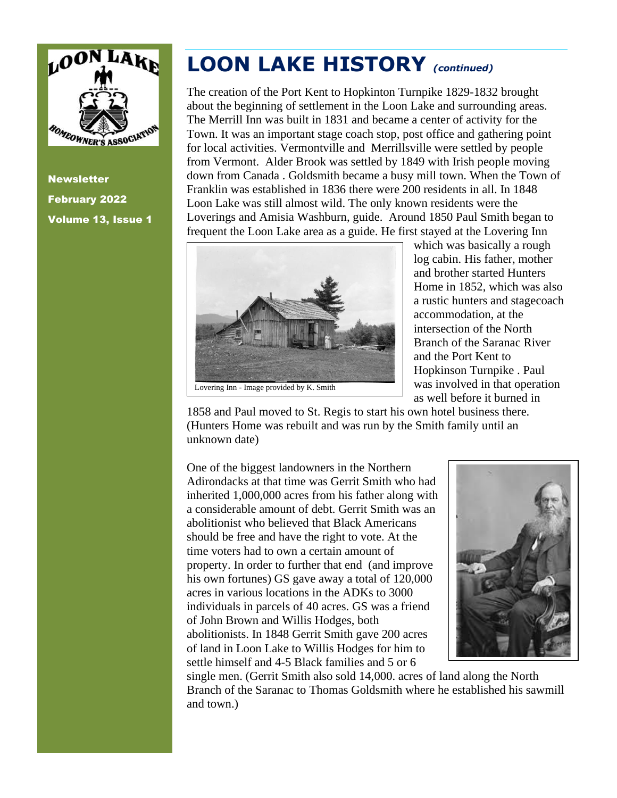

# **LOON LAKE HISTORY** *(continued)*

The creation of the Port Kent to Hopkinton Turnpike 1829-1832 brought about the beginning of settlement in the Loon Lake and surrounding areas. The Merrill Inn was built in 1831 and became a center of activity for the Town. It was an important stage coach stop, post office and gathering point for local activities. Vermontville and Merrillsville were settled by people from Vermont. Alder Brook was settled by 1849 with Irish people moving down from Canada . Goldsmith became a busy mill town. When the Town of Franklin was established in 1836 there were 200 residents in all. In 1848 Loon Lake was still almost wild. The only known residents were the Loverings and Amisia Washburn, guide. Around 1850 Paul Smith began to frequent the Loon Lake area as a guide. He first stayed at the Lovering Inn



which was basically a rough log cabin. His father, mother and brother started Hunters Home in 1852, which was also a rustic hunters and stagecoach accommodation, at the intersection of the North Branch of the Saranac River and the Port Kent to Hopkinson Turnpike . Paul was involved in that operation as well before it burned in

1858 and Paul moved to St. Regis to start his own hotel business there. (Hunters Home was rebuilt and was run by the Smith family until an unknown date)

One of the biggest landowners in the Northern Adirondacks at that time was Gerrit Smith who had inherited 1,000,000 acres from his father along with a considerable amount of debt. Gerrit Smith was an abolitionist who believed that Black Americans should be free and have the right to vote. At the time voters had to own a certain amount of property. In order to further that end (and improve his own fortunes) GS gave away a total of 120,000 acres in various locations in the ADKs to 3000 individuals in parcels of 40 acres. GS was a friend of John Brown and Willis Hodges, both abolitionists. In 1848 Gerrit Smith gave 200 acres of land in Loon Lake to Willis Hodges for him to settle himself and 4-5 Black families and 5 or 6



single men. (Gerrit Smith also sold 14,000. acres of land along the North Branch of the Saranac to Thomas Goldsmith where he established his sawmill and town.)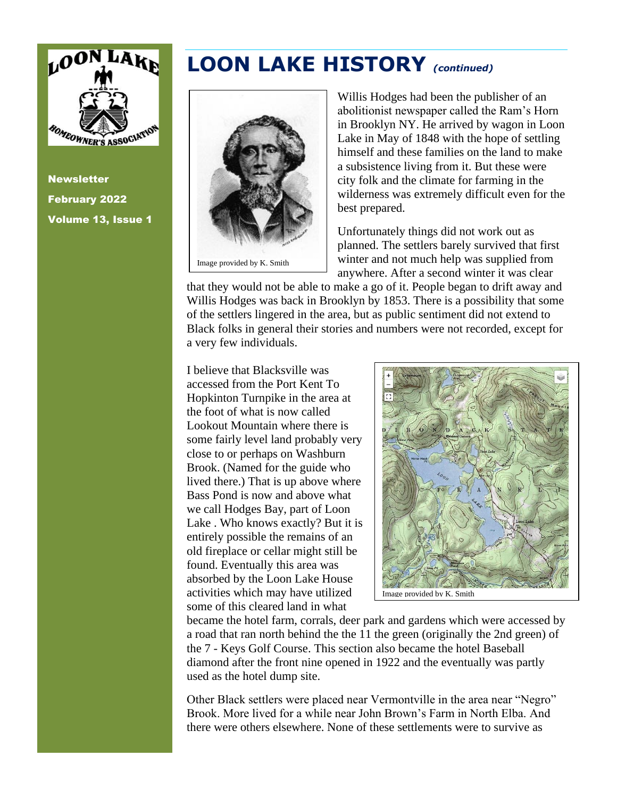

**Newsletter** February 2022 Volume 13, Issue 1

#### **LOON LAKE HISTORY** *(continued)*



Willis Hodges had been the publisher of an abolitionist newspaper called the Ram's Horn in Brooklyn NY. He arrived by wagon in Loon Lake in May of 1848 with the hope of settling himself and these families on the land to make a subsistence living from it. But these were city folk and the climate for farming in the wilderness was extremely difficult even for the best prepared.

Unfortunately things did not work out as planned. The settlers barely survived that first winter and not much help was supplied from anywhere. After a second winter it was clear

that they would not be able to make a go of it. People began to drift away and Willis Hodges was back in Brooklyn by 1853. There is a possibility that some of the settlers lingered in the area, but as public sentiment did not extend to Black folks in general their stories and numbers were not recorded, except for a very few individuals.

I believe that Blacksville was accessed from the Port Kent To Hopkinton Turnpike in the area at the foot of what is now called Lookout Mountain where there is some fairly level land probably very close to or perhaps on Washburn Brook. (Named for the guide who lived there.) That is up above where Bass Pond is now and above what we call Hodges Bay, part of Loon Lake . Who knows exactly? But it is entirely possible the remains of an old fireplace or cellar might still be found. Eventually this area was absorbed by the Loon Lake House activities which may have utilized some of this cleared land in what



became the hotel farm, corrals, deer park and gardens which were accessed by a road that ran north behind the the 11 the green (originally the 2nd green) of the 7 - Keys Golf Course. This section also became the hotel Baseball diamond after the front nine opened in 1922 and the eventually was partly used as the hotel dump site.

Other Black settlers were placed near Vermontville in the area near "Negro" Brook. More lived for a while near John Brown's Farm in North Elba. And there were others elsewhere. None of these settlements were to survive as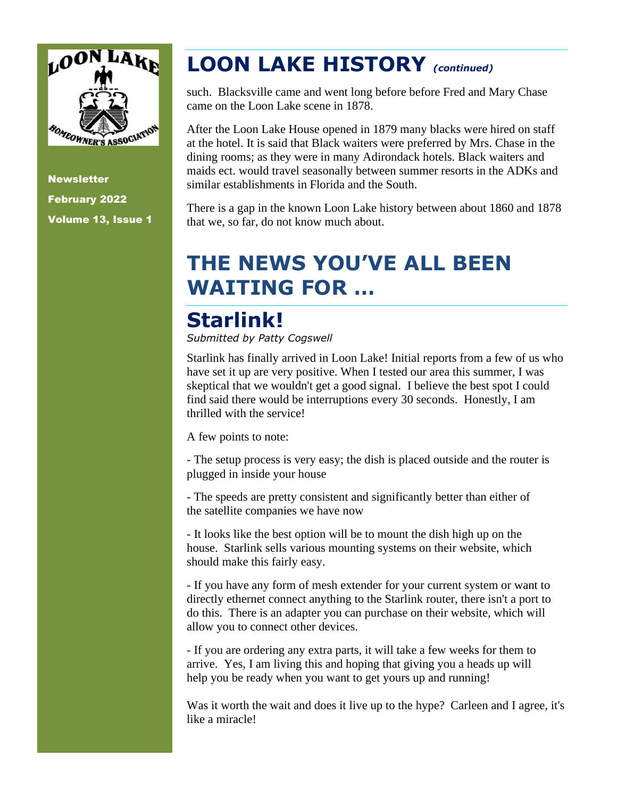

# **LOON LAKE HISTORY** *(continued)*

such. Blacksville came and went long before before Fred and Mary Chase came on the Loon Lake scene in 1878.

After the Loon Lake House opened in 1879 many blacks were hired on staff at the hotel. It is said that Black waiters were preferred by Mrs. Chase in the dining rooms; as they were in many Adirondack hotels. Black waiters and maids ect. would travel seasonally between summer resorts in the ADKs and similar establishments in Florida and the South.

There is a gap in the known Loon Lake history between about 1860 and 1878 that we, so far, do not know much about.

# **THE NEWS YOU'VE ALL BEEN WAITING FOR …**

# **Starlink!**

*Submitted by Patty Cogswell*

Starlink has finally arrived in Loon Lake! Initial reports from a few of us who have set it up are very positive. When I tested our area this summer, I was skeptical that we wouldn't get a good signal. I believe the best spot I could find said there would be interruptions every 30 seconds. Honestly, I am thrilled with the service!

A few points to note:

- The setup process is very easy; the dish is placed outside and the router is plugged in inside your house

- The speeds are pretty consistent and significantly better than either of the satellite companies we have now

- It looks like the best option will be to mount the dish high up on the house. Starlink sells various mounting systems on their website, which should make this fairly easy.

- If you have any form of mesh extender for your current system or want to directly ethernet connect anything to the Starlink router, there isn't a port to do this. There is an adapter you can purchase on their website, which will allow you to connect other devices.

- If you are ordering any extra parts, it will take a few weeks for them to arrive. Yes, I am living this and hoping that giving you a heads up will help you be ready when you want to get yours up and running!

Was it worth the wait and does it live up to the hype? Carleen and I agree, it's like a miracle!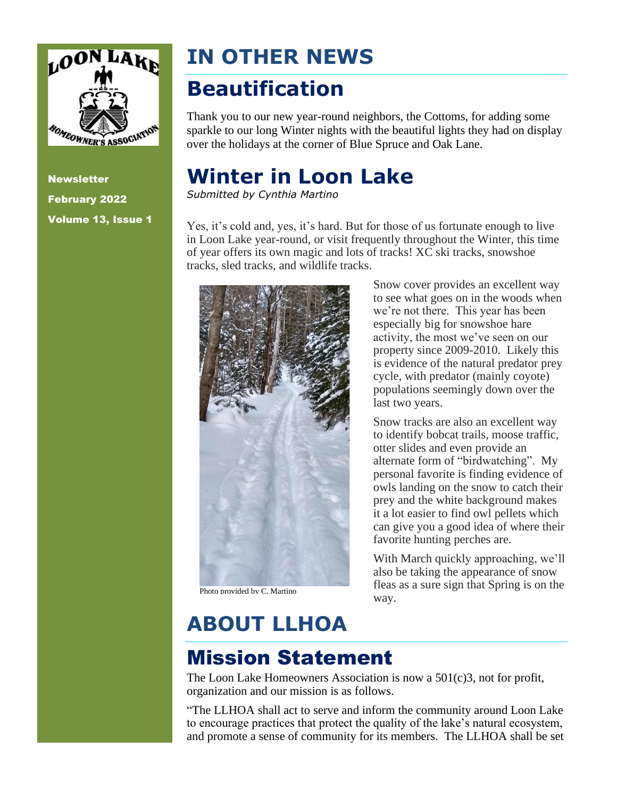

# **IN OTHER NEWS**

## **Beautification**

Thank you to our new year-round neighbors, the Cottoms, for adding some sparkle to our long Winter nights with the beautiful lights they had on display over the holidays at the corner of Blue Spruce and Oak Lane.

#### **Winter in Loon Lake**

*Submitted by Cynthia Martino*

Yes, it's cold and, yes, it's hard. But for those of us fortunate enough to live in Loon Lake year-round, or visit frequently throughout the Winter, this time of year offers its own magic and lots of tracks! XC ski tracks, snowshoe tracks, sled tracks, and wildlife tracks.



Photo provided by C. Martino

Snow cover provides an excellent way to see what goes on in the woods when we're not there. This year has been especially big for snowshoe hare activity, the most we've seen on our property since 2009-2010. Likely this is evidence of the natural predator prey cycle, with predator (mainly coyote) populations seemingly down over the last two years.

Snow tracks are also an excellent way to identify bobcat trails, moose traffic, otter slides and even provide an alternate form of "birdwatching". My personal favorite is finding evidence of owls landing on the snow to catch their prey and the white background makes it a lot easier to find owl pellets which can give you a good idea of where their favorite hunting perches are.

With March quickly approaching, we'll also be taking the appearance of snow fleas as a sure sign that Spring is on the way.

# **ABOUT LLHOA**

### Mission Statement

The Loon Lake Homeowners Association is now a 501(c)3, not for profit, organization and our mission is as follows.

"The LLHOA shall act to serve and inform the community around Loon Lake to encourage practices that protect the quality of the lake's natural ecosystem, and promote a sense of community for its members. The LLHOA shall be set